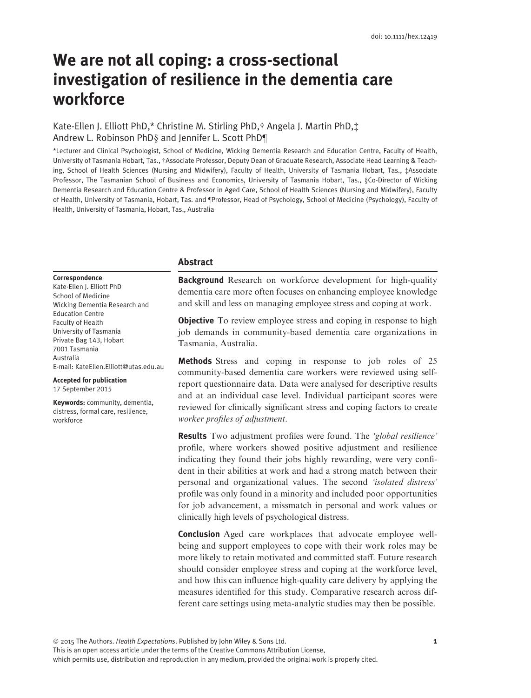# We are not all coping: a cross-sectional investigation of resilience in the dementia care workforce

## Kate-Ellen J. Elliott PhD,\* Christine M. Stirling PhD,† Angela J. Martin PhD,‡ Andrew L. Robinson PhD§ and Jennifer L. Scott PhD¶

\*Lecturer and Clinical Psychologist, School of Medicine, Wicking Dementia Research and Education Centre, Faculty of Health, University of Tasmania Hobart, Tas., †Associate Professor, Deputy Dean of Graduate Research, Associate Head Learning & Teaching, School of Health Sciences (Nursing and Midwifery), Faculty of Health, University of Tasmania Hobart, Tas., ‡Associate Professor, The Tasmanian School of Business and Economics, University of Tasmania Hobart, Tas., §Co-Director of Wicking Dementia Research and Education Centre & Professor in Aged Care, School of Health Sciences (Nursing and Midwifery), Faculty of Health, University of Tasmania, Hobart, Tas. and ¶Professor, Head of Psychology, School of Medicine (Psychology), Faculty of Health, University of Tasmania, Hobart, Tas., Australia

#### Abstract

Correspondence Kate-Ellen J. Elliott PhD School of Medicine

Education Centre Faculty of Health University of Tasmania Private Bag 143, Hobart 7001 Tasmania Australia

Wicking Dementia Research and

E-mail: KateEllen.Elliott@utas.edu.au

Keywords: community, dementia, distress, formal care, resilience,

Accepted for publication 17 September 2015

workforce

**Background** Research on workforce development for high-quality dementia care more often focuses on enhancing employee knowledge and skill and less on managing employee stress and coping at work.

**Objective** To review employee stress and coping in response to high job demands in community-based dementia care organizations in Tasmania, Australia.

Methods Stress and coping in response to job roles of 25 community-based dementia care workers were reviewed using selfreport questionnaire data. Data were analysed for descriptive results and at an individual case level. Individual participant scores were reviewed for clinically significant stress and coping factors to create worker profiles of adjustment.

**Results** Two adjustment profiles were found. The *'global resilience'* profile, where workers showed positive adjustment and resilience indicating they found their jobs highly rewarding, were very confident in their abilities at work and had a strong match between their personal and organizational values. The second 'isolated distress' profile was only found in a minority and included poor opportunities for job advancement, a missmatch in personal and work values or clinically high levels of psychological distress.

**Conclusion** Aged care workplaces that advocate employee wellbeing and support employees to cope with their work roles may be more likely to retain motivated and committed staff. Future research should consider employee stress and coping at the workforce level, and how this can influence high-quality care delivery by applying the measures identified for this study. Comparative research across different care settings using meta-analytic studies may then be possible.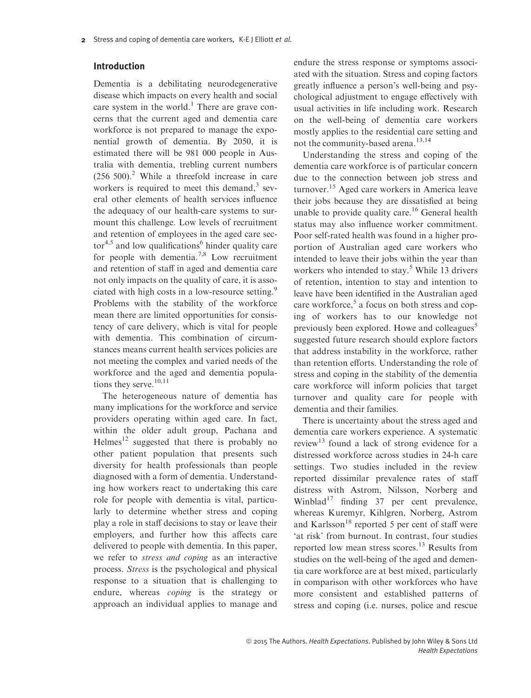## Introduction

Dementia is a debilitating neurodegenerative disease which impacts on every health and social care system in the world.<sup>1</sup> There are grave concerns that the current aged and dementia care workforce is not prepared to manage the exponential growth of dementia. By 2050, it is estimated there will be 981 000 people in Australia with dementia, trebling current numbers  $(256 500)<sup>2</sup>$  While a threefold increase in care workers is required to meet this demand, $3$  several other elements of health services influence the adequacy of our health-care systems to surmount this challenge. Low levels of recruitment and retention of employees in the aged care sec- $\text{tor}^{4,5}$  and low qualifications<sup>6</sup> hinder quality care for people with dementia.<sup>7,8</sup> Low recruitment and retention of staff in aged and dementia care not only impacts on the quality of care, it is associated with high costs in a low-resource setting.<sup>9</sup> Problems with the stability of the workforce mean there are limited opportunities for consistency of care delivery, which is vital for people with dementia. This combination of circumstances means current health services policies are not meeting the complex and varied needs of the workforce and the aged and dementia populations they serve.<sup>10,11</sup>

The heterogeneous nature of dementia has many implications for the workforce and service providers operating within aged care. In fact, within the older adult group, Pachana and Helmes<sup>12</sup> suggested that there is probably no other patient population that presents such diversity for health professionals than people diagnosed with a form of dementia. Understanding how workers react to undertaking this care role for people with dementia is vital, particularly to determine whether stress and coping play a role in staff decisions to stay or leave their employers, and further how this affects care delivered to people with dementia. In this paper, we refer to stress and coping as an interactive process. Stress is the psychological and physical response to a situation that is challenging to endure, whereas coping is the strategy or approach an individual applies to manage and endure the stress response or symptoms associated with the situation. Stress and coping factors greatly influence a person's well-being and psychological adjustment to engage effectively with usual activities in life including work. Research on the well-being of dementia care workers mostly applies to the residential care setting and not the community-based arena.<sup>13,14</sup>

Understanding the stress and coping of the dementia care workforce is of particular concern due to the connection between job stress and turnover.15 Aged care workers in America leave their jobs because they are dissatisfied at being unable to provide quality care.<sup>16</sup> General health status may also influence worker commitment. Poor self-rated health was found in a higher proportion of Australian aged care workers who intended to leave their jobs within the year than workers who intended to stay. $5$  While 13 drivers of retention, intention to stay and intention to leave have been identified in the Australian aged care workforce, $5$  a focus on both stress and coping of workers has to our knowledge not previously been explored. Howe and colleagues<sup>5</sup> suggested future research should explore factors that address instability in the workforce, rather than retention efforts. Understanding the role of stress and coping in the stability of the dementia care workforce will inform policies that target turnover and quality care for people with dementia and their families.

There is uncertainty about the stress aged and dementia care workers experience. A systematic review<sup>13</sup> found a lack of strong evidence for a distressed workforce across studies in 24-h care settings. Two studies included in the review reported dissimilar prevalence rates of staff distress with Astrom, Nilsson, Norberg and Winblad<sup>17</sup> finding 37 per cent prevalence, whereas Kuremyr, Kihlgren, Norberg, Astrom and Karlsson<sup>18</sup> reported 5 per cent of staff were 'at risk' from burnout. In contrast, four studies reported low mean stress scores.13 Results from studies on the well-being of the aged and dementia care workforce are at best mixed, particularly in comparison with other workforces who have more consistent and established patterns of stress and coping (i.e. nurses, police and rescue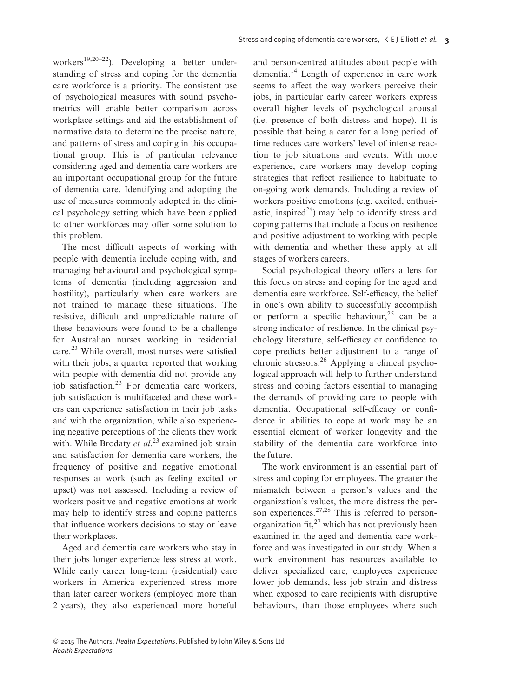workers<sup>19,20–22</sup>). Developing a better understanding of stress and coping for the dementia care workforce is a priority. The consistent use of psychological measures with sound psychometrics will enable better comparison across workplace settings and aid the establishment of normative data to determine the precise nature, and patterns of stress and coping in this occupational group. This is of particular relevance considering aged and dementia care workers are an important occupational group for the future of dementia care. Identifying and adopting the use of measures commonly adopted in the clinical psychology setting which have been applied to other workforces may offer some solution to this problem.

The most difficult aspects of working with people with dementia include coping with, and managing behavioural and psychological symptoms of dementia (including aggression and hostility), particularly when care workers are not trained to manage these situations. The resistive, difficult and unpredictable nature of these behaviours were found to be a challenge for Australian nurses working in residential care.<sup>23</sup> While overall, most nurses were satisfied with their jobs, a quarter reported that working with people with dementia did not provide any job satisfaction.<sup>23</sup> For dementia care workers, job satisfaction is multifaceted and these workers can experience satisfaction in their job tasks and with the organization, while also experiencing negative perceptions of the clients they work with. While Brodaty et  $al^{23}$  examined job strain and satisfaction for dementia care workers, the frequency of positive and negative emotional responses at work (such as feeling excited or upset) was not assessed. Including a review of workers positive and negative emotions at work may help to identify stress and coping patterns that influence workers decisions to stay or leave their workplaces.

Aged and dementia care workers who stay in their jobs longer experience less stress at work. While early career long-term (residential) care workers in America experienced stress more than later career workers (employed more than 2 years), they also experienced more hopeful

and person-centred attitudes about people with dementia.<sup>14</sup> Length of experience in care work seems to affect the way workers perceive their jobs, in particular early career workers express overall higher levels of psychological arousal (i.e. presence of both distress and hope). It is possible that being a carer for a long period of time reduces care workers' level of intense reaction to job situations and events. With more experience, care workers may develop coping strategies that reflect resilience to habituate to on-going work demands. Including a review of workers positive emotions (e.g. excited, enthusiastic, inspired<sup>24</sup>) may help to identify stress and coping patterns that include a focus on resilience and positive adjustment to working with people with dementia and whether these apply at all stages of workers careers.

Social psychological theory offers a lens for this focus on stress and coping for the aged and dementia care workforce. Self-efficacy, the belief in one's own ability to successfully accomplish or perform a specific behaviour,<sup>25</sup> can be a strong indicator of resilience. In the clinical psychology literature, self-efficacy or confidence to cope predicts better adjustment to a range of chronic stressors.<sup>26</sup> Applying a clinical psychological approach will help to further understand stress and coping factors essential to managing the demands of providing care to people with dementia. Occupational self-efficacy or confidence in abilities to cope at work may be an essential element of worker longevity and the stability of the dementia care workforce into the future.

The work environment is an essential part of stress and coping for employees. The greater the mismatch between a person's values and the organization's values, the more distress the person experiences. $27,28$  This is referred to personorganization fit, $^{27}$  which has not previously been examined in the aged and dementia care workforce and was investigated in our study. When a work environment has resources available to deliver specialized care, employees experience lower job demands, less job strain and distress when exposed to care recipients with disruptive behaviours, than those employees where such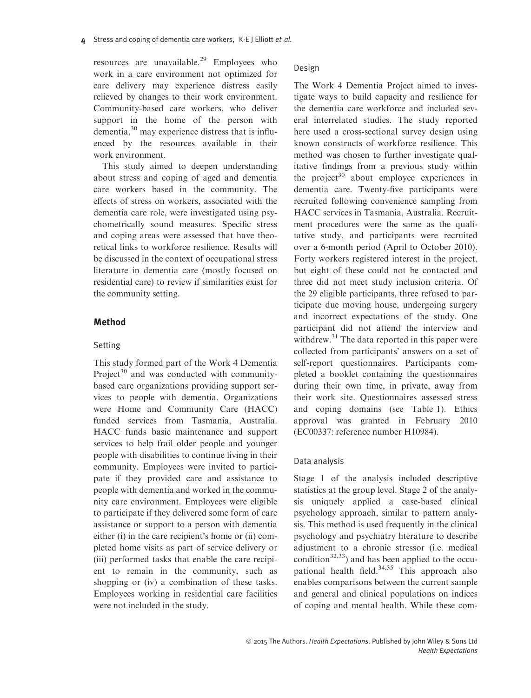resources are unavailable.<sup>29</sup> Employees who work in a care environment not optimized for care delivery may experience distress easily relieved by changes to their work environment. Community-based care workers, who deliver support in the home of the person with dementia, $30$  may experience distress that is influenced by the resources available in their work environment.

This study aimed to deepen understanding about stress and coping of aged and dementia care workers based in the community. The effects of stress on workers, associated with the dementia care role, were investigated using psychometrically sound measures. Specific stress and coping areas were assessed that have theoretical links to workforce resilience. Results will be discussed in the context of occupational stress literature in dementia care (mostly focused on residential care) to review if similarities exist for the community setting.

## Method

#### Setting

This study formed part of the Work 4 Dementia Project<sup>30</sup> and was conducted with communitybased care organizations providing support services to people with dementia. Organizations were Home and Community Care (HACC) funded services from Tasmania, Australia. HACC funds basic maintenance and support services to help frail older people and younger people with disabilities to continue living in their community. Employees were invited to participate if they provided care and assistance to people with dementia and worked in the community care environment. Employees were eligible to participate if they delivered some form of care assistance or support to a person with dementia either (i) in the care recipient's home or (ii) completed home visits as part of service delivery or (iii) performed tasks that enable the care recipient to remain in the community, such as shopping or (iv) a combination of these tasks. Employees working in residential care facilities were not included in the study.

## Design

The Work 4 Dementia Project aimed to investigate ways to build capacity and resilience for the dementia care workforce and included several interrelated studies. The study reported here used a cross-sectional survey design using known constructs of workforce resilience. This method was chosen to further investigate qualitative findings from a previous study within the project<sup>30</sup> about employee experiences in dementia care. Twenty-five participants were recruited following convenience sampling from HACC services in Tasmania, Australia. Recruitment procedures were the same as the qualitative study, and participants were recruited over a 6-month period (April to October 2010). Forty workers registered interest in the project, but eight of these could not be contacted and three did not meet study inclusion criteria. Of the 29 eligible participants, three refused to participate due moving house, undergoing surgery and incorrect expectations of the study. One participant did not attend the interview and withdrew. $31$  The data reported in this paper were collected from participants' answers on a set of self-report questionnaires. Participants completed a booklet containing the questionnaires during their own time, in private, away from their work site. Questionnaires assessed stress and coping domains (see Table 1). Ethics approval was granted in February 2010 (EC00337: reference number H10984).

#### Data analysis

Stage 1 of the analysis included descriptive statistics at the group level. Stage 2 of the analysis uniquely applied a case-based clinical psychology approach, similar to pattern analysis. This method is used frequently in the clinical psychology and psychiatry literature to describe adjustment to a chronic stressor (i.e. medical condition $32,33$ ) and has been applied to the occupational health field. $34,35$  This approach also enables comparisons between the current sample and general and clinical populations on indices of coping and mental health. While these com-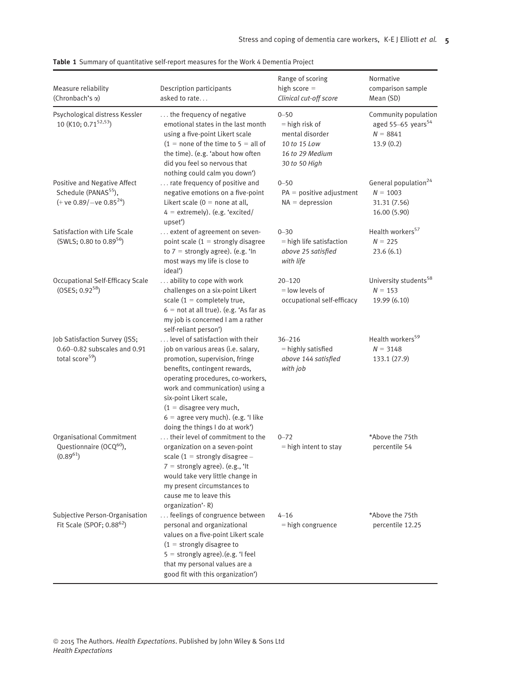| Measure reliability<br>(Chronbach's $\alpha$ )                                                      | <b>Description participants</b><br>asked to rate                                                                                                                                                                                                                                                                                                              | Range of scoring<br>high score $=$<br>Clinical cut-off score                                      | Normative<br>comparison sample<br>Mean (SD)                                       |  |
|-----------------------------------------------------------------------------------------------------|---------------------------------------------------------------------------------------------------------------------------------------------------------------------------------------------------------------------------------------------------------------------------------------------------------------------------------------------------------------|---------------------------------------------------------------------------------------------------|-----------------------------------------------------------------------------------|--|
| Psychological distress Kessler<br>10 (K10; 0.71 <sup>52,53</sup> )                                  | the frequency of negative<br>emotional states in the last month<br>using a five-point Likert scale<br>$(1 =$ none of the time to 5 = all of<br>the time). (e.g. 'about how often<br>did you feel so nervous that<br>nothing could calm you down')                                                                                                             | $0 - 50$<br>= high risk of<br>mental disorder<br>10 to 15 Low<br>16 to 29 Medium<br>30 to 50 High | Community population<br>aged 55-65 years <sup>54</sup><br>$N = 8841$<br>13.9(0.2) |  |
| Positive and Negative Affect<br>Schedule (PANAS <sup>55</sup> ),<br>(+ ve $0.89$ /-ve $0.85^{24}$ ) | rate frequency of positive and<br>negative emotions on a five-point<br>Likert scale ( $0 =$ none at all,<br>$4 =$ extremely). (e.g. 'excited/<br>upset')                                                                                                                                                                                                      | $0 - 50$<br>$PA = positive$ adjustment<br>$NA = depression$                                       | General population <sup>24</sup><br>$N = 1003$<br>31.31 (7.56)<br>16.00 (5.90)    |  |
| Satisfaction with Life Scale<br>(SWLS; 0.80 to 0.89 <sup>56</sup> )                                 | extent of agreement on seven-<br>point scale $(1 =$ strongly disagree<br>to $7 =$ strongly agree). (e.g. 'In<br>most ways my life is close to<br>ideal')                                                                                                                                                                                                      | $0 - 30$<br>$=$ high life satisfaction<br>above 25 satisfied<br>with life                         | Health workers <sup>57</sup><br>$N = 225$<br>23.6(6.1)                            |  |
| Occupational Self-Efficacy Scale<br>$(OSES; 0.92^{58})$                                             | ability to cope with work<br>challenges on a six-point Likert<br>scale (1 = completely true,<br>$6 =$ not at all true). (e.g. 'As far as<br>my job is concerned I am a rather<br>self-reliant person')                                                                                                                                                        | $20 - 120$<br>= low levels of<br>occupational self-efficacy                                       | University students <sup>58</sup><br>$N = 153$<br>19.99 (6.10)                    |  |
| Job Satisfaction Survey (JSS;<br>$0.60 - 0.82$ subscales and $0.91$<br>total score <sup>59</sup> )  | level of satisfaction with their<br>job on various areas (i.e. salary,<br>promotion, supervision, fringe<br>benefits, contingent rewards,<br>operating procedures, co-workers,<br>work and communication) using a<br>six-point Likert scale,<br>$(1 - \text{disagree very much},$<br>$6 =$ agree very much). (e.g. 'I like<br>doing the things I do at work') | $36 - 216$<br>= highly satisfied<br>above 144 satisfied<br>with job                               | Health workers <sup>59</sup><br>$N = 3148$<br>133.1 (27.9)                        |  |
| Organisational Commitment<br>Questionnaire (OCQ <sup>60</sup> ),<br>$(0.89^{61})$                   | their level of commitment to the<br>organization on a seven-point<br>scale (1 = strongly disagree $-$<br>$7 =$ strongly agree). (e.g., 'It<br>would take very little change in<br>my present circumstances to<br>cause me to leave this<br>organization' - R)                                                                                                 | $0 - 72$<br>$=$ high intent to stay                                                               | *Above the 75th<br>percentile 54                                                  |  |
| Subjective Person-Organisation<br>Fit Scale (SPOF; 0.88 <sup>62</sup> )                             | feelings of congruence between<br>personal and organizational<br>values on a five-point Likert scale<br>$(1 =$ strongly disagree to<br>$5 =$ strongly agree). (e.g. 'I feel<br>that my personal values are a<br>good fit with this organization')                                                                                                             | $4 - 16$<br>$=$ high congruence                                                                   | *Above the 75th<br>percentile 12.25                                               |  |

Table 1 Summary of quantitative self-report measures for the Work 4 Dementia Project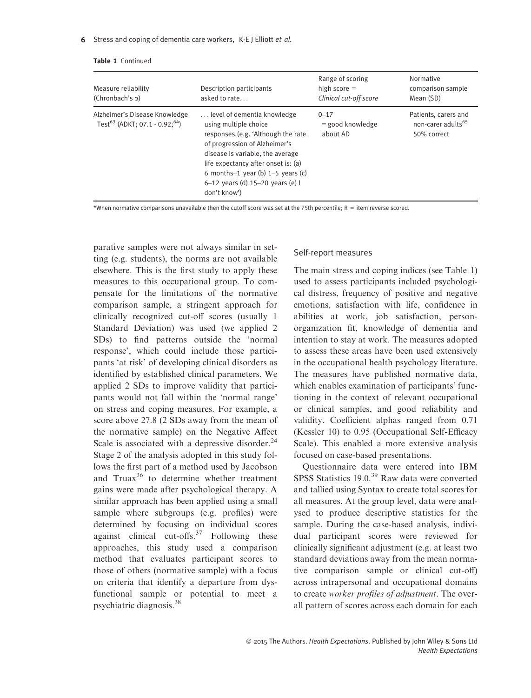6 Stress and coping of dementia care workers, K-E J Elliott et al.

| Measure reliability<br>$(Chronbach's \alpha)$                                           | Description participants<br>asked to rate                                                                                                                                                                                                                                                            | Range of scoring<br>high score $=$<br>Clinical cut-off score | Normative<br>comparison sample<br>Mean (SD)                           |
|-----------------------------------------------------------------------------------------|------------------------------------------------------------------------------------------------------------------------------------------------------------------------------------------------------------------------------------------------------------------------------------------------------|--------------------------------------------------------------|-----------------------------------------------------------------------|
| Alzheimer's Disease Knowledge<br>Test <sup>63</sup> (ADKT; 07.1 - 0.92; <sup>64</sup> ) | level of dementia knowledge<br>using multiple choice<br>responses. (e.g. 'Although the rate<br>of progression of Alzheimer's<br>disease is variable, the average<br>life expectancy after onset is: (a)<br>6 months-1 year (b) $1-5$ years (c)<br>6–12 years (d) $15-20$ years (e) I<br>don't know') | $0 - 17$<br>$=$ good knowledge<br>about AD                   | Patients, carers and<br>non-carer adults <sup>65</sup><br>50% correct |

|  |  |  | Table 1 Continued |
|--|--|--|-------------------|
|--|--|--|-------------------|

\*When normative comparisons unavailable then the cutoff score was set at the 75th percentile;  $R =$  item reverse scored.

parative samples were not always similar in setting (e.g. students), the norms are not available elsewhere. This is the first study to apply these measures to this occupational group. To compensate for the limitations of the normative comparison sample, a stringent approach for clinically recognized cut-off scores (usually 1 Standard Deviation) was used (we applied 2 SDs) to find patterns outside the 'normal response', which could include those participants 'at risk' of developing clinical disorders as identified by established clinical parameters. We applied 2 SDs to improve validity that participants would not fall within the 'normal range' on stress and coping measures. For example, a score above 27.8 (2 SDs away from the mean of the normative sample) on the Negative Affect Scale is associated with a depressive disorder. $^{24}$ Stage 2 of the analysis adopted in this study follows the first part of a method used by Jacobson and  $Truax^{36}$  to determine whether treatment gains were made after psychological therapy. A similar approach has been applied using a small sample where subgroups (e.g. profiles) were determined by focusing on individual scores against clinical cut-offs. $37$  Following these approaches, this study used a comparison method that evaluates participant scores to those of others (normative sample) with a focus on criteria that identify a departure from dysfunctional sample or potential to meet a psychiatric diagnosis.<sup>38</sup>

## Self-report measures

The main stress and coping indices (see Table 1) used to assess participants included psychological distress, frequency of positive and negative emotions, satisfaction with life, confidence in abilities at work, job satisfaction, personorganization fit, knowledge of dementia and intention to stay at work. The measures adopted to assess these areas have been used extensively in the occupational health psychology literature. The measures have published normative data, which enables examination of participants' functioning in the context of relevant occupational or clinical samples, and good reliability and validity. Coefficient alphas ranged from 0.71 (Kessler 10) to 0.95 (Occupational Self-Efficacy Scale). This enabled a more extensive analysis focused on case-based presentations.

Questionnaire data were entered into IBM SPSS Statistics 19.0.<sup>39</sup> Raw data were converted and tallied using Syntax to create total scores for all measures. At the group level, data were analysed to produce descriptive statistics for the sample. During the case-based analysis, individual participant scores were reviewed for clinically significant adjustment (e.g. at least two standard deviations away from the mean normative comparison sample or clinical cut-off) across intrapersonal and occupational domains to create worker profiles of adjustment. The overall pattern of scores across each domain for each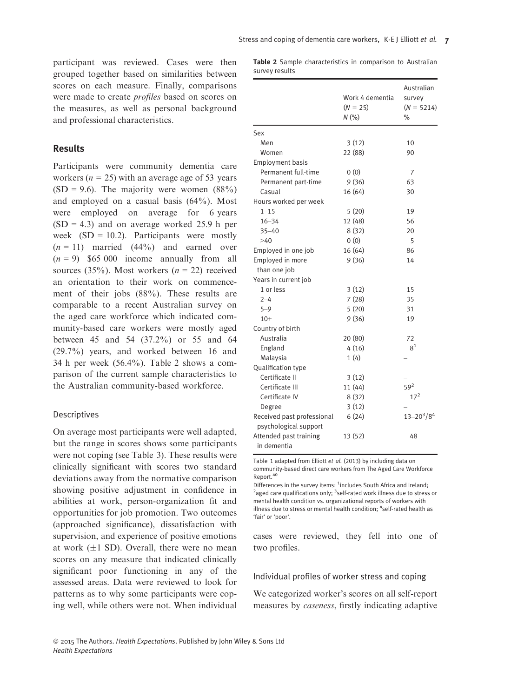participant was reviewed. Cases were then grouped together based on similarities between scores on each measure. Finally, comparisons were made to create profiles based on scores on the measures, as well as personal background and professional characteristics.

## Results

Participants were community dementia care workers ( $n = 25$ ) with an average age of 53 years  $(SD = 9.6)$ . The majority were women  $(88\%)$ and employed on a casual basis (64%). Most were employed on average for 6 years  $(SD = 4.3)$  and on average worked 25.9 h per week  $(SD = 10.2)$ . Participants were mostly  $(n = 11)$  married  $(44\%)$  and earned over  $(n = 9)$  \$65 000 income annually from all sources (35%). Most workers ( $n = 22$ ) received an orientation to their work on commencement of their jobs (88%). These results are comparable to a recent Australian survey on the aged care workforce which indicated community-based care workers were mostly aged between 45 and 54 (37.2%) or 55 and 64 (29.7%) years, and worked between 16 and 34 h per week (56.4%). Table 2 shows a comparison of the current sample characteristics to the Australian community-based workforce.

#### Descriptives

On average most participants were well adapted, but the range in scores shows some participants were not coping (see Table 3). These results were clinically significant with scores two standard deviations away from the normative comparison showing positive adjustment in confidence in abilities at work, person-organization fit and opportunities for job promotion. Two outcomes (approached significance), dissatisfaction with supervision, and experience of positive emotions at work  $(\pm 1 \text{ SD})$ . Overall, there were no mean scores on any measure that indicated clinically significant poor functioning in any of the assessed areas. Data were reviewed to look for patterns as to why some participants were coping well, while others were not. When individual Table 2 Sample characteristics in comparison to Australian survey results

|                                       | Work 4 dementia<br>$(N = 25)$ | Australian<br>survey<br>$(N = 5214)$ |
|---------------------------------------|-------------------------------|--------------------------------------|
|                                       | $N$ (%)                       | $\%$                                 |
| Sex                                   |                               |                                      |
| Men                                   | 3(12)                         | 10                                   |
| Women                                 | 22 (88)                       | 90                                   |
| <b>Employment basis</b>               |                               |                                      |
| Permanent full-time                   | 0(0)                          | 7                                    |
| Permanent part-time                   | 9(36)                         | 63                                   |
| Casual                                | 16 (64)                       | 30                                   |
| Hours worked per week                 |                               |                                      |
| $1 - 15$                              | 5(20)                         | 19                                   |
| $16 - 34$                             | 12 (48)                       | 56                                   |
| $35 - 40$                             | 8(32)                         | 20                                   |
| >40                                   | 0(0)                          | 5                                    |
| Employed in one job                   | 16 (64)                       | 86                                   |
| Employed in more                      | 9(36)                         | 14                                   |
| than one job                          |                               |                                      |
| Years in current job                  |                               |                                      |
| 1 or less                             | 3(12)                         | 15                                   |
| $2 - 4$                               | 7(28)                         | 35                                   |
| $5 - 9$                               | 5(20)                         | 31                                   |
| $10+$                                 | 9(36)                         | 19                                   |
| Country of birth                      |                               |                                      |
| Australia                             | 20 (80)                       | 72                                   |
| England                               | 4(16)                         | 8 <sup>1</sup>                       |
| Malaysia                              | 1(4)                          |                                      |
| Qualification type                    |                               |                                      |
| Certificate II                        | 3(12)                         |                                      |
| Certificate III                       | 11 (44)                       | $59^2$                               |
| Certificate IV                        | 8(32)                         | $17^{2}$                             |
| Degree                                | 3(12)                         |                                      |
| Received past professional            | 6(24)                         | $13 - 20^3/8^4$                      |
| psychological support                 |                               |                                      |
| Attended past training<br>in dementia | 13 (52)                       | 48                                   |

Table 1 adapted from Elliott et al. (2013) by including data on community-based direct care workers from The Aged Care Workforce Report.<sup>40</sup>

cases were reviewed, they fell into one of two profiles.

## Individual profiles of worker stress and coping

We categorized worker's scores on all self-report measures by caseness, firstly indicating adaptive

Differences in the survey items: <sup>1</sup>includes South Africa and Ireland; <sup>2</sup>aged care qualifications only; <sup>3</sup>self-rated work illness due to stress or mental health condition vs. organizational reports of workers with illness due to stress or mental health condition; <sup>4</sup>self-rated health as 'fair' or 'poor'.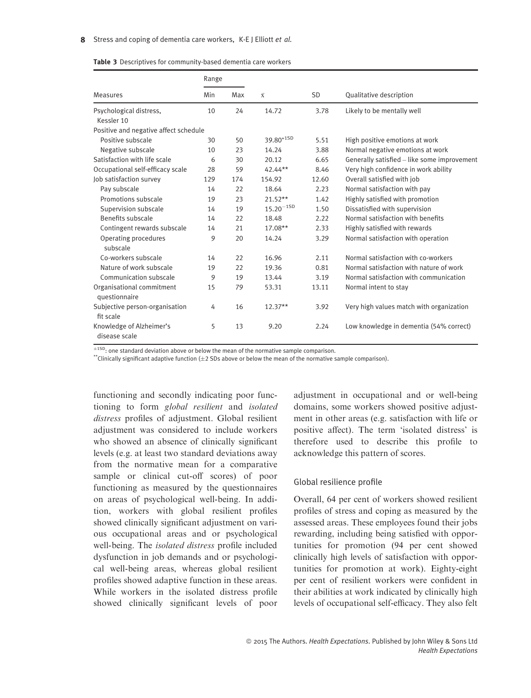|                                             | Range |     |                       |           |                                             |
|---------------------------------------------|-------|-----|-----------------------|-----------|---------------------------------------------|
| Measures                                    | Min   | Max | $\bar{\mathbf{X}}$    | <b>SD</b> | Qualitative description                     |
| Psychological distress,<br>Kessler 10       | 10    | 24  | 14.72                 | 3.78      | Likely to be mentally well                  |
| Positive and negative affect schedule       |       |     |                       |           |                                             |
| Positive subscale                           | 30    | 50  | 39.80 <sup>+1SD</sup> | 5.51      | High positive emotions at work              |
| Negative subscale                           | 10    | 23  | 14.24                 | 3.88      | Normal negative emotions at work            |
| Satisfaction with life scale                | 6     | 30  | 20.12                 | 6.65      | Generally satisfied - like some improvement |
| Occupational self-efficacy scale            | 28    | 59  | $42.44**$             | 8.46      | Very high confidence in work ability        |
| Job satisfaction survey                     | 129   | 174 | 154.92                | 12.60     | Overall satisfied with job                  |
| Pay subscale                                | 14    | 22  | 18.64                 | 2.23      | Normal satisfaction with pay                |
| Promotions subscale                         | 19    | 23  | $21.52**$             | 1.42      | Highly satisfied with promotion             |
| Supervision subscale                        | 14    | 19  | $15.20^{-15D}$        | 1.50      | Dissatisfied with supervision               |
| Benefits subscale                           | 14    | 22  | 18.48                 | 2.22      | Normal satisfaction with benefits           |
| Contingent rewards subscale                 | 14    | 21  | $17.08**$             | 2.33      | Highly satisfied with rewards               |
| Operating procedures<br>subscale            | 9     | 20  | 14.24                 | 3.29      | Normal satisfaction with operation          |
| Co-workers subscale                         | 14    | 22  | 16.96                 | 2.11      | Normal satisfaction with co-workers         |
| Nature of work subscale                     | 19    | 22  | 19.36                 | 0.81      | Normal satisfaction with nature of work     |
| Communication subscale                      | 9     | 19  | 13.44                 | 3.19      | Normal satisfaction with communication      |
| Organisational commitment<br>questionnaire  | 15    | 79  | 53.31                 | 13.11     | Normal intent to stay                       |
| Subjective person-organisation<br>fit scale | 4     | 16  | $12.37**$             | 3.92      | Very high values match with organization    |
| Knowledge of Alzheimer's<br>disease scale   | 5     | 13  | 9.20                  | 2.24      | Low knowledge in dementia (54% correct)     |

Table 3 Descriptives for community-based dementia care workers

 $11$ <sup> $\pm$ 1SD</sup>: one standard deviation above or below the mean of the normative sample comparison.

\*\*Clinically significant adaptive function  $(\pm 2$  SDs above or below the mean of the normative sample comparison).

functioning and secondly indicating poor functioning to form global resilient and isolated distress profiles of adjustment. Global resilient adjustment was considered to include workers who showed an absence of clinically significant levels (e.g. at least two standard deviations away from the normative mean for a comparative sample or clinical cut-off scores) of poor functioning as measured by the questionnaires on areas of psychological well-being. In addition, workers with global resilient profiles showed clinically significant adjustment on various occupational areas and or psychological well-being. The isolated distress profile included dysfunction in job demands and or psychological well-being areas, whereas global resilient profiles showed adaptive function in these areas. While workers in the isolated distress profile showed clinically significant levels of poor adjustment in occupational and or well-being domains, some workers showed positive adjustment in other areas (e.g. satisfaction with life or positive affect). The term 'isolated distress' is therefore used to describe this profile to acknowledge this pattern of scores.

### Global resilience profile

Overall, 64 per cent of workers showed resilient profiles of stress and coping as measured by the assessed areas. These employees found their jobs rewarding, including being satisfied with opportunities for promotion (94 per cent showed clinically high levels of satisfaction with opportunities for promotion at work). Eighty-eight per cent of resilient workers were confident in their abilities at work indicated by clinically high levels of occupational self-efficacy. They also felt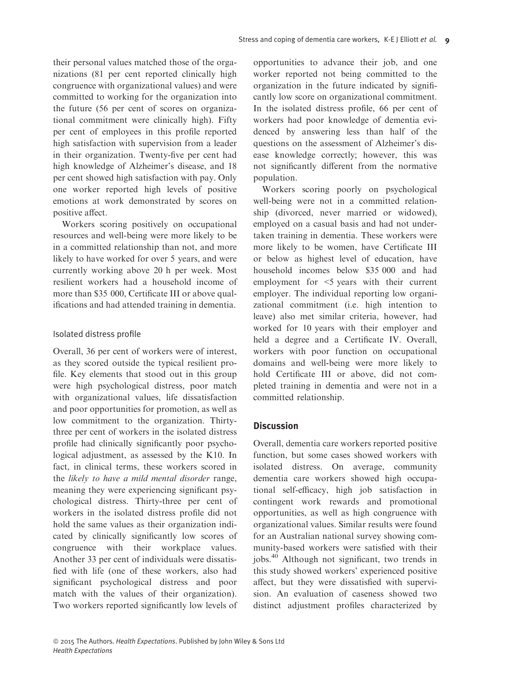their personal values matched those of the organizations (81 per cent reported clinically high congruence with organizational values) and were committed to working for the organization into the future (56 per cent of scores on organizational commitment were clinically high). Fifty per cent of employees in this profile reported high satisfaction with supervision from a leader in their organization. Twenty-five per cent had high knowledge of Alzheimer's disease, and 18 per cent showed high satisfaction with pay. Only one worker reported high levels of positive emotions at work demonstrated by scores on positive affect.

Workers scoring positively on occupational resources and well-being were more likely to be in a committed relationship than not, and more likely to have worked for over 5 years, and were currently working above 20 h per week. Most resilient workers had a household income of more than \$35 000, Certificate III or above qualifications and had attended training in dementia.

## Isolated distress profile

Overall, 36 per cent of workers were of interest, as they scored outside the typical resilient profile. Key elements that stood out in this group were high psychological distress, poor match with organizational values, life dissatisfaction and poor opportunities for promotion, as well as low commitment to the organization. Thirtythree per cent of workers in the isolated distress profile had clinically significantly poor psychological adjustment, as assessed by the K10. In fact, in clinical terms, these workers scored in the likely to have a mild mental disorder range, meaning they were experiencing significant psychological distress. Thirty-three per cent of workers in the isolated distress profile did not hold the same values as their organization indicated by clinically significantly low scores of congruence with their workplace values. Another 33 per cent of individuals were dissatisfied with life (one of these workers, also had significant psychological distress and poor match with the values of their organization). Two workers reported significantly low levels of opportunities to advance their job, and one worker reported not being committed to the organization in the future indicated by significantly low score on organizational commitment. In the isolated distress profile, 66 per cent of workers had poor knowledge of dementia evidenced by answering less than half of the questions on the assessment of Alzheimer's disease knowledge correctly; however, this was not significantly different from the normative population.

Workers scoring poorly on psychological well-being were not in a committed relationship (divorced, never married or widowed), employed on a casual basis and had not undertaken training in dementia. These workers were more likely to be women, have Certificate III or below as highest level of education, have household incomes below \$35 000 and had employment for <5 years with their current employer. The individual reporting low organizational commitment (i.e. high intention to leave) also met similar criteria, however, had worked for 10 years with their employer and held a degree and a Certificate IV. Overall, workers with poor function on occupational domains and well-being were more likely to hold Certificate III or above, did not completed training in dementia and were not in a committed relationship.

### **Discussion**

Overall, dementia care workers reported positive function, but some cases showed workers with isolated distress. On average, community dementia care workers showed high occupational self-efficacy, high job satisfaction in contingent work rewards and promotional opportunities, as well as high congruence with organizational values. Similar results were found for an Australian national survey showing community-based workers were satisfied with their jobs.<sup>40</sup> Although not significant, two trends in this study showed workers' experienced positive affect, but they were dissatisfied with supervision. An evaluation of caseness showed two distinct adjustment profiles characterized by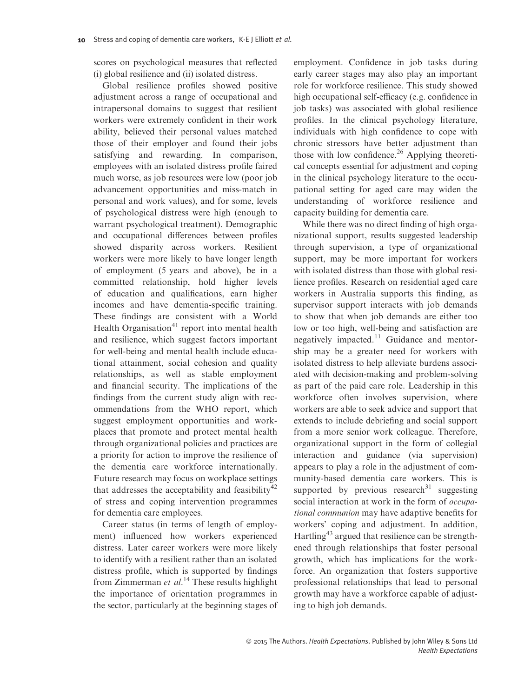scores on psychological measures that reflected (i) global resilience and (ii) isolated distress.

Global resilience profiles showed positive adjustment across a range of occupational and intrapersonal domains to suggest that resilient workers were extremely confident in their work ability, believed their personal values matched those of their employer and found their jobs satisfying and rewarding. In comparison, employees with an isolated distress profile faired much worse, as job resources were low (poor job advancement opportunities and miss-match in personal and work values), and for some, levels of psychological distress were high (enough to warrant psychological treatment). Demographic and occupational differences between profiles showed disparity across workers. Resilient workers were more likely to have longer length of employment (5 years and above), be in a committed relationship, hold higher levels of education and qualifications, earn higher incomes and have dementia-specific training. These findings are consistent with a World Health Organisation $41$  report into mental health and resilience, which suggest factors important for well-being and mental health include educational attainment, social cohesion and quality relationships, as well as stable employment and financial security. The implications of the findings from the current study align with recommendations from the WHO report, which suggest employment opportunities and workplaces that promote and protect mental health through organizational policies and practices are a priority for action to improve the resilience of the dementia care workforce internationally. Future research may focus on workplace settings that addresses the acceptability and feasibility $42$ of stress and coping intervention programmes for dementia care employees.

Career status (in terms of length of employment) influenced how workers experienced distress. Later career workers were more likely to identify with a resilient rather than an isolated distress profile, which is supported by findings from Zimmerman et  $al.^{14}$  These results highlight the importance of orientation programmes in the sector, particularly at the beginning stages of employment. Confidence in job tasks during early career stages may also play an important role for workforce resilience. This study showed high occupational self-efficacy (e.g. confidence in job tasks) was associated with global resilience profiles. In the clinical psychology literature, individuals with high confidence to cope with chronic stressors have better adjustment than those with low confidence.<sup>26</sup> Applying theoretical concepts essential for adjustment and coping in the clinical psychology literature to the occupational setting for aged care may widen the understanding of workforce resilience and capacity building for dementia care.

While there was no direct finding of high organizational support, results suggested leadership through supervision, a type of organizational support, may be more important for workers with isolated distress than those with global resilience profiles. Research on residential aged care workers in Australia supports this finding, as supervisor support interacts with job demands to show that when job demands are either too low or too high, well-being and satisfaction are negatively impacted.<sup>11</sup> Guidance and mentorship may be a greater need for workers with isolated distress to help alleviate burdens associated with decision-making and problem-solving as part of the paid care role. Leadership in this workforce often involves supervision, where workers are able to seek advice and support that extends to include debriefing and social support from a more senior work colleague. Therefore, organizational support in the form of collegial interaction and guidance (via supervision) appears to play a role in the adjustment of community-based dementia care workers. This is supported by previous research $31$  suggesting social interaction at work in the form of occupational communion may have adaptive benefits for workers' coping and adjustment. In addition, Hartling<sup>43</sup> argued that resilience can be strengthened through relationships that foster personal growth, which has implications for the workforce. An organization that fosters supportive professional relationships that lead to personal growth may have a workforce capable of adjusting to high job demands.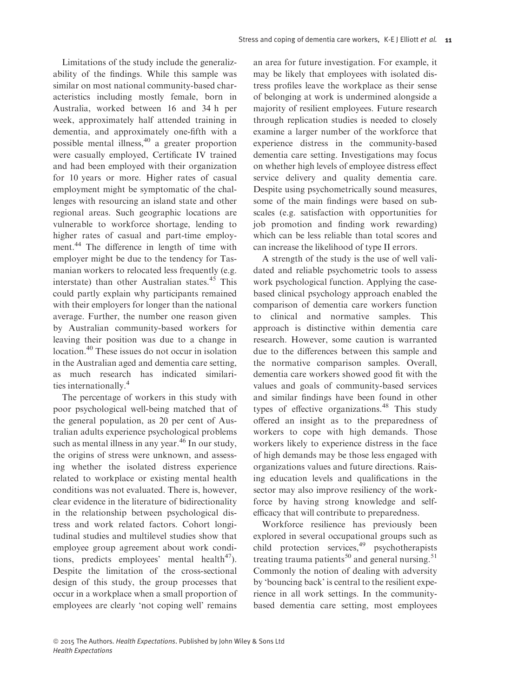Limitations of the study include the generalizability of the findings. While this sample was similar on most national community-based characteristics including mostly female, born in Australia, worked between 16 and 34 h per week, approximately half attended training in dementia, and approximately one-fifth with a possible mental illness,  $40$  a greater proportion were casually employed, Certificate IV trained and had been employed with their organization for 10 years or more. Higher rates of casual employment might be symptomatic of the challenges with resourcing an island state and other regional areas. Such geographic locations are vulnerable to workforce shortage, lending to higher rates of casual and part-time employment.<sup>44</sup> The difference in length of time with employer might be due to the tendency for Tasmanian workers to relocated less frequently (e.g. interstate) than other Australian states.<sup>45</sup> This could partly explain why participants remained with their employers for longer than the national average. Further, the number one reason given by Australian community-based workers for leaving their position was due to a change in location.<sup>40</sup> These issues do not occur in isolation in the Australian aged and dementia care setting, as much research has indicated similarities internationally.<sup>4</sup>

The percentage of workers in this study with poor psychological well-being matched that of the general population, as 20 per cent of Australian adults experience psychological problems such as mental illness in any year. $46$  In our study, the origins of stress were unknown, and assessing whether the isolated distress experience related to workplace or existing mental health conditions was not evaluated. There is, however, clear evidence in the literature of bidirectionality in the relationship between psychological distress and work related factors. Cohort longitudinal studies and multilevel studies show that employee group agreement about work conditions, predicts employees' mental health $47$ ). Despite the limitation of the cross-sectional design of this study, the group processes that occur in a workplace when a small proportion of employees are clearly 'not coping well' remains

an area for future investigation. For example, it may be likely that employees with isolated distress profiles leave the workplace as their sense of belonging at work is undermined alongside a majority of resilient employees. Future research through replication studies is needed to closely examine a larger number of the workforce that experience distress in the community-based dementia care setting. Investigations may focus on whether high levels of employee distress effect service delivery and quality dementia care. Despite using psychometrically sound measures, some of the main findings were based on subscales (e.g. satisfaction with opportunities for job promotion and finding work rewarding) which can be less reliable than total scores and can increase the likelihood of type II errors.

A strength of the study is the use of well validated and reliable psychometric tools to assess work psychological function. Applying the casebased clinical psychology approach enabled the comparison of dementia care workers function to clinical and normative samples. This approach is distinctive within dementia care research. However, some caution is warranted due to the differences between this sample and the normative comparison samples. Overall, dementia care workers showed good fit with the values and goals of community-based services and similar findings have been found in other types of effective organizations.<sup>48</sup> This study offered an insight as to the preparedness of workers to cope with high demands. Those workers likely to experience distress in the face of high demands may be those less engaged with organizations values and future directions. Raising education levels and qualifications in the sector may also improve resiliency of the workforce by having strong knowledge and selfefficacy that will contribute to preparedness.

Workforce resilience has previously been explored in several occupational groups such as child protection services,<sup>49</sup> psychotherapists treating trauma patients<sup>50</sup> and general nursing.<sup>51</sup> Commonly the notion of dealing with adversity by 'bouncing back' is central to the resilient experience in all work settings. In the communitybased dementia care setting, most employees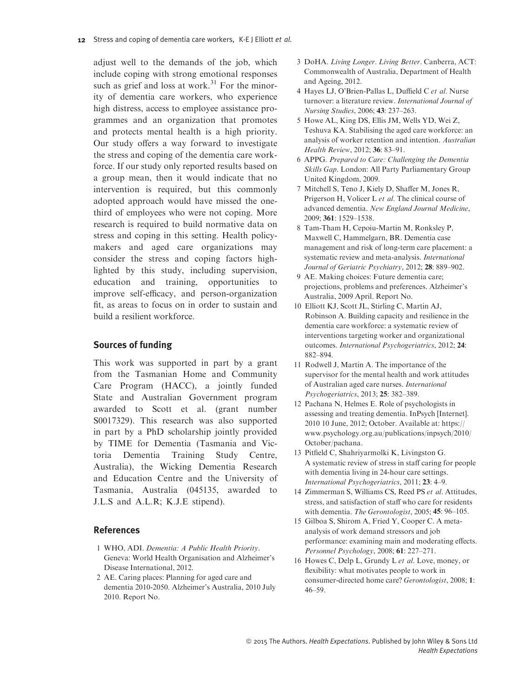adjust well to the demands of the job, which include coping with strong emotional responses such as grief and loss at work.<sup>31</sup> For the minority of dementia care workers, who experience high distress, access to employee assistance programmes and an organization that promotes and protects mental health is a high priority. Our study offers a way forward to investigate the stress and coping of the dementia care workforce. If our study only reported results based on a group mean, then it would indicate that no intervention is required, but this commonly adopted approach would have missed the onethird of employees who were not coping. More research is required to build normative data on stress and coping in this setting. Health policymakers and aged care organizations may consider the stress and coping factors highlighted by this study, including supervision, education and training, opportunities to improve self-efficacy, and person-organization fit, as areas to focus on in order to sustain and build a resilient workforce.

#### Sources of funding

This work was supported in part by a grant from the Tasmanian Home and Community Care Program (HACC), a jointly funded State and Australian Government program awarded to Scott et al. (grant number S0017329). This research was also supported in part by a PhD scholarship jointly provided by TIME for Dementia (Tasmania and Victoria Dementia Training Study Centre, Australia), the Wicking Dementia Research and Education Centre and the University of Tasmania, Australia (045135, awarded to J.L.S and A.L.R; K.J.E stipend).

#### References

- 1 WHO, ADI. Dementia: A Public Health Priority. Geneva: World Health Organisation and Alzheimer's Disease International, 2012.
- 2 AE. Caring places: Planning for aged care and dementia 2010-2050. Alzheimer's Australia, 2010 July 2010. Report No.
- 3 DoHA. Living Longer. Living Better. Canberra, ACT: Commonwealth of Australia, Department of Health and Ageing, 2012.
- 4 Hayes LJ, O'Brien-Pallas L, Duffield C et al. Nurse turnover: a literature review. International Journal of Nursing Studies, 2006; 43: 237–263.
- 5 Howe AL, King DS, Ellis JM, Wells YD, Wei Z, Teshuva KA. Stabilising the aged care workforce: an analysis of worker retention and intention. Australian Health Review, 2012; 36: 83–91.
- 6 APPG. Prepared to Care: Challenging the Dementia Skills Gap. London: All Party Parliamentary Group United Kingdom, 2009.
- 7 Mitchell S, Teno J, Kiely D, Shaffer M, Jones R, Prigerson H, Volicer L et al. The clinical course of advanced dementia. New England Journal Medicine, 2009; 361: 1529–1538.
- 8 Tam-Tham H, Cepoiu-Martin M, Ronksley P, Maxwell C, Hammelgarn, BR. Dementia case management and risk of long-term care placement: a systematic review and meta-analysis. International Journal of Geriatric Psychiatry, 2012; 28: 889–902.
- 9 AE. Making choices: Future dementia care; projections, problems and preferences. Alzheimer's Australia, 2009 April. Report No.
- 10 Elliott KJ, Scott JL, Stirling C, Martin AJ, Robinson A. Building capacity and resilience in the dementia care workforce: a systematic review of interventions targeting worker and organizational outcomes. International Psychogeriatrics, 2012; 24: 882–894.
- 11 Rodwell J, Martin A. The importance of the supervisor for the mental health and work attitudes of Australian aged care nurses. International Psychogeriatrics, 2013; 25: 382–389.
- 12 Pachana N, Helmes E. Role of psychologists in assessing and treating dementia. InPsych [Internet]. 2010 10 June, 2012; October. Available at: [https://](https://www.psychology.org.au/publications/inpsych/2010/october/pachana) [www.psychology.org.au/publications/inpsych/2010/](https://www.psychology.org.au/publications/inpsych/2010/october/pachana) [October/pachana.](https://www.psychology.org.au/publications/inpsych/2010/october/pachana)
- 13 Pitfield C, Shahriyarmolki K, Livingston G. A systematic review of stress in staff caring for people with dementia living in 24-hour care settings. International Psychogeriatrics, 2011; 23: 4–9.
- 14 Zimmerman S, Williams CS, Reed PS et al. Attitudes, stress, and satisfaction of staff who care for residents with dementia. The Gerontologist, 2005; 45: 96–105.
- 15 Gilboa S, Shirom A, Fried Y, Cooper C. A metaanalysis of work demand stressors and job performance: examining main and moderating effects. Personnel Psychology, 2008; 61: 227–271.
- 16 Howes C, Delp L, Grundy L et al. Love, money, or flexibility: what motivates people to work in consumer-directed home care? Gerontologist, 2008; 1: 46–59.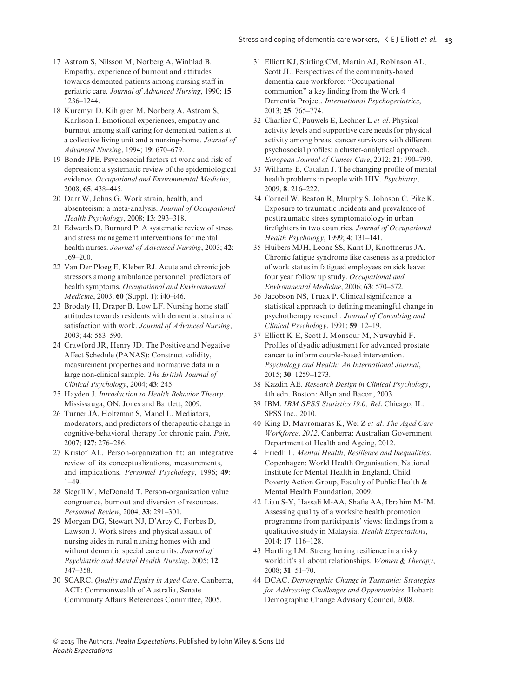- 17 Astrom S, Nilsson M, Norberg A, Winblad B. Empathy, experience of burnout and attitudes towards demented patients among nursing staff in geriatric care. Journal of Advanced Nursing, 1990; 15: 1236–1244.
- 18 Kuremyr D, Kihlgren M, Norberg A, Astrom S, Karlsson I. Emotional experiences, empathy and burnout among staff caring for demented patients at a collective living unit and a nursing-home. Journal of Advanced Nursing, 1994; 19: 670–679.
- 19 Bonde JPE. Psychosocial factors at work and risk of depression: a systematic review of the epidemiological evidence. Occupational and Environmental Medicine, 2008; 65: 438–445.
- 20 Darr W, Johns G. Work strain, health, and absenteeism: a meta-analysis. Journal of Occupational Health Psychology, 2008; 13: 293–318.
- 21 Edwards D, Burnard P. A systematic review of stress and stress management interventions for mental health nurses. Journal of Advanced Nursing, 2003; 42: 169–200.
- 22 Van Der Ploeg E, Kleber RJ. Acute and chronic job stressors among ambulance personnel: predictors of health symptoms. Occupational and Environmental Medicine, 2003; 60 (Suppl. 1): i40–i46.
- 23 Brodaty H, Draper B, Low LF. Nursing home staff attitudes towards residents with dementia: strain and satisfaction with work. Journal of Advanced Nursing, 2003; 44: 583–590.
- 24 Crawford JR, Henry JD. The Positive and Negative Affect Schedule (PANAS): Construct validity, measurement properties and normative data in a large non-clinical sample. The British Journal of Clinical Psychology, 2004; 43: 245.
- 25 Hayden J. Introduction to Health Behavior Theory. Mississauga, ON: Jones and Bartlett, 2009.
- 26 Turner JA, Holtzman S, Mancl L. Mediators, moderators, and predictors of therapeutic change in cognitive-behavioral therapy for chronic pain. Pain, 2007; 127: 276–286.
- 27 Kristof AL. Person-organization fit: an integrative review of its conceptualizations, measurements, and implications. Personnel Psychology, 1996; 49: 1–49.
- 28 Siegall M, McDonald T. Person-organization value congruence, burnout and diversion of resources. Personnel Review, 2004; 33: 291–301.
- 29 Morgan DG, Stewart NJ, D'Arcy C, Forbes D, Lawson J. Work stress and physical assault of nursing aides in rural nursing homes with and without dementia special care units. Journal of Psychiatric and Mental Health Nursing, 2005; 12: 347–358.
- 30 SCARC. Quality and Equity in Aged Care. Canberra, ACT: Commonwealth of Australia, Senate Community Affairs References Committee, 2005.
- 31 Elliott KJ, Stirling CM, Martin AJ, Robinson AL, Scott JL. Perspectives of the community-based dementia care workforce: "Occupational communion" a key finding from the Work 4 Dementia Project. International Psychogeriatrics, 2013; 25: 765–774.
- 32 Charlier C, Pauwels E, Lechner L et al. Physical activity levels and supportive care needs for physical activity among breast cancer survivors with different psychosocial profiles: a cluster-analytical approach. European Journal of Cancer Care, 2012; 21: 790–799.
- 33 Williams E, Catalan J. The changing profile of mental health problems in people with HIV. Psychiatry, 2009; 8: 216–222.
- 34 Corneil W, Beaton R, Murphy S, Johnson C, Pike K. Exposure to traumatic incidents and prevalence of posttraumatic stress symptomatology in urban firefighters in two countries. Journal of Occupational Health Psychology, 1999; 4: 131–141.
- 35 Huibers MJH, Leone SS, Kant IJ, Knottnerus JA. Chronic fatigue syndrome like caseness as a predictor of work status in fatigued employees on sick leave: four year follow up study. Occupational and Environmental Medicine, 2006; 63: 570–572.
- 36 Jacobson NS, Truax P. Clinical significance: a statistical approach to defining meaningful change in psychotherapy research. Journal of Consulting and Clinical Psychology, 1991; 59: 12–19.
- 37 Elliott K-E, Scott J, Monsour M, Nuwayhid F. Profiles of dyadic adjustment for advanced prostate cancer to inform couple-based intervention. Psychology and Health: An International Journal, 2015; 30: 1259–1273.
- 38 Kazdin AE. Research Design in Clinical Psychology, 4th edn. Boston: Allyn and Bacon, 2003.
- 39 IBM. IBM SPSS Statistics 19.0, Rel. Chicago, IL: SPSS Inc., 2010.
- 40 King D, Mavromaras K, Wei Z et al. The Aged Care Workforce, 2012. Canberra: Australian Government Department of Health and Ageing, 2012.
- 41 Friedli L. Mental Health, Resilience and Inequalities. Copenhagen: World Health Organisation, National Institute for Mental Health in England, Child Poverty Action Group, Faculty of Public Health & Mental Health Foundation, 2009.
- 42 Liau S-Y, Hassali M-AA, Shafie AA, Ibrahim M-IM. Assessing quality of a worksite health promotion programme from participants' views: findings from a qualitative study in Malaysia. Health Expectations, 2014; 17: 116–128.
- 43 Hartling LM. Strengthening resilience in a risky world: it's all about relationships. Women & Therapy, 2008; 31: 51–70.
- 44 DCAC. Demographic Change in Tasmania: Strategies for Addressing Challenges and Opportunities. Hobart: Demographic Change Advisory Council, 2008.